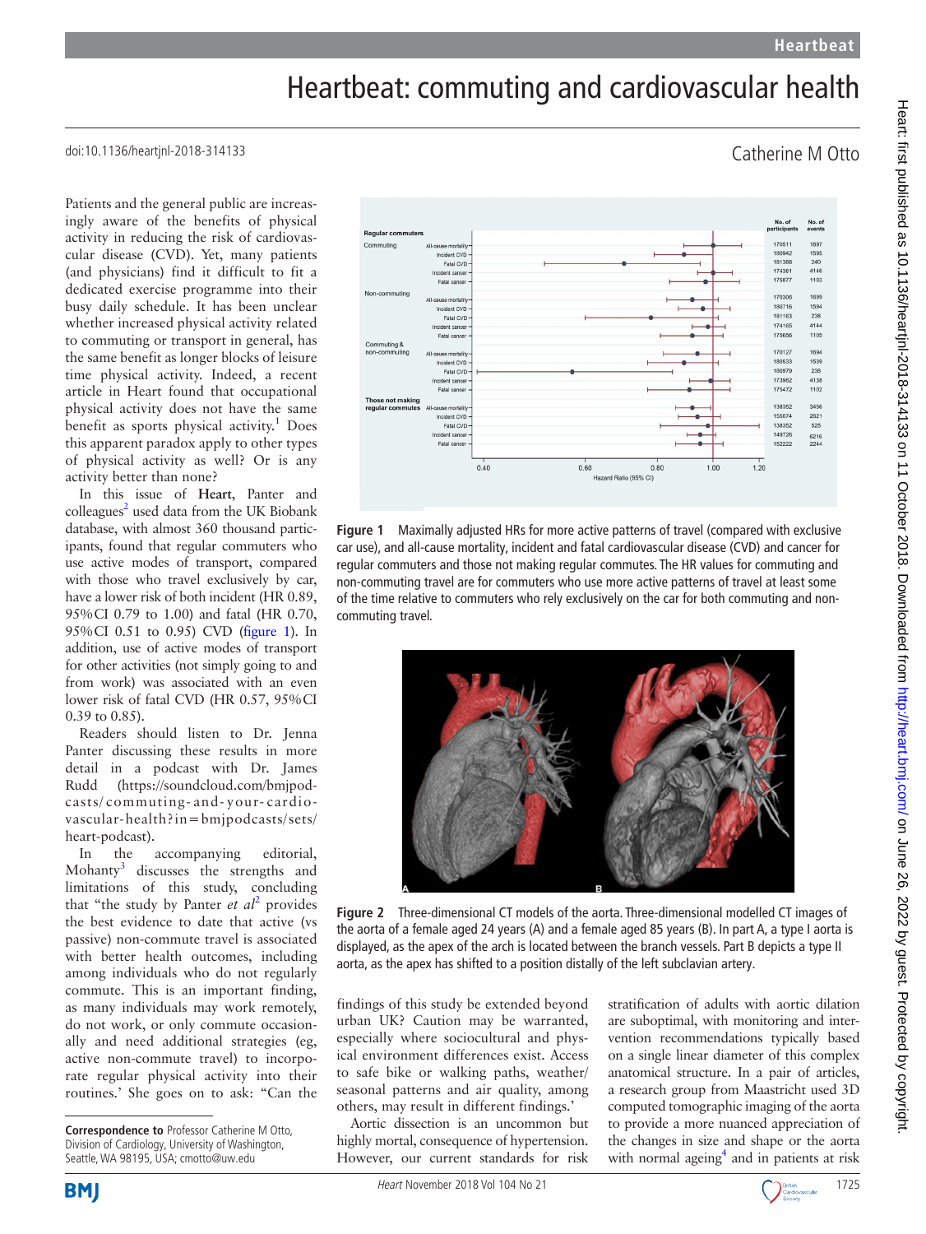findings of this study be extended beyond urban UK? Caution may be warranted, especially where sociocultural and physical environment differences exist. Access to safe bike or walking paths, weather/ seasonal patterns and air quality, among others, may result in different findings.' Aortic dissection is an uncommon but highly mortal, consequence of hypertension. However, our current standards for risk

## Heartbeat: commuting and cardiovascular health

doi:10.1136/heartjnl-2018-314133

Patients and the general public are increasingly aware of the benefits of physical activity in reducing the risk of cardiovascular disease (CVD). Yet, many patients (and physicians) find it difficult to fit a dedicated exercise programme into their busy daily schedule. It has been unclear whether increased physical activity related to commuting or transport in general, has the same benefit as longer blocks of leisure time physical activity. Indeed, a recent article in Heart found that occupational physical activity does not have the same benefit as sports physical activity.<sup>[1](#page-1-0)</sup> Does this apparent paradox apply to other types of physical activity as well? Or is any activity better than none?

In this issue of **Heart**, Panter and colleagues<sup>2</sup> used data from the UK Biobank database, with almost 360 thousand participants, found that regular commuters who use active modes of transport, compared with those who travel exclusively by car, have a lower risk of both incident (HR 0.89, 95%CI 0.79 to 1.00) and fatal (HR 0.70, 95%CI 0.51 to 0.95) CVD ([figure](#page-0-0) 1). In addition, use of active modes of transport for other activities (not simply going to and from work) was associated with an even lower risk of fatal CVD (HR 0.57, 95%CI 0.39 to 0.85).

Readers should listen to Dr. Jenna Panter discussing these results in more detail in a podcast with Dr. James Rudd [\(https://soundcloud.com/bmjpod](https://soundcloud.com/bmjpodcasts/commuting-and-your-cardiovascular-health?in=bmjpodcasts/sets/heart-podcast)casts/ [commuting-](https://soundcloud.com/bmjpodcasts/commuting-and-your-cardiovascular-health?in=bmjpodcasts/sets/heart-podcast) and- your- cardio[vascular-health?in=bmjpodcasts/sets/](https://soundcloud.com/bmjpodcasts/commuting-and-your-cardiovascular-health?in=bmjpodcasts/sets/heart-podcast) [heart-podcast](https://soundcloud.com/bmjpodcasts/commuting-and-your-cardiovascular-health?in=bmjpodcasts/sets/heart-podcast)).

In the accompanying editorial, Mohanty<sup>[3](#page-1-2)</sup> discusses the strengths and limitations of this study, concluding that "the study by Panter *et al*<sup>[2](#page-1-1)</sup> provides the best evidence to date that active (vs passive) non-commute travel is associated with better health outcomes, including among individuals who do not regularly commute. This is an important finding, as many individuals may work remotely, do not work, or only commute occasionally and need additional strategies (eg, active non-commute travel) to incorporate regular physical activity into their routines.' She goes on to ask: "Can the

<span id="page-0-0"></span>**Figure 1** Maximally adjusted HRs for more active patterns of travel (compared with exclusive car use), and all-cause mortality, incident and fatal cardiovascular disease (CVD) and cancer for regular commuters and those not making regular commutes. The HR values for commuting and non-commuting travel are for commuters who use more active patterns of travel at least some of the time relative to commuters who rely exclusively on the car for both commuting and noncommuting travel.

<span id="page-0-1"></span>**Figure 2** Three-dimensional CT models of the aorta. Three-dimensional modelled CT images of the aorta of a female aged 24 years (A) and a female aged 85 years (B). In part A, a type I aorta is displayed, as the apex of the arch is located between the branch vessels. Part B depicts a type II aorta, as the apex has shifted to a position distally of the left subclavian artery.

stratification of adults with aortic dilation are suboptimal, with monitoring and intervention recommendations typically based on a single linear diameter of this complex anatomical structure. In a pair of articles, a research group from Maastricht used 3D computed tomographic imaging of the aorta to provide a more nuanced appreciation of the changes in size and shape or the aorta with normal ageing<sup>4</sup> and in patients at risk







**Correspondence to** Professor Catherine M Otto, Division of Cardiology, University of Washington, Seattle, WA 98195, USA; cmotto@uw.edu